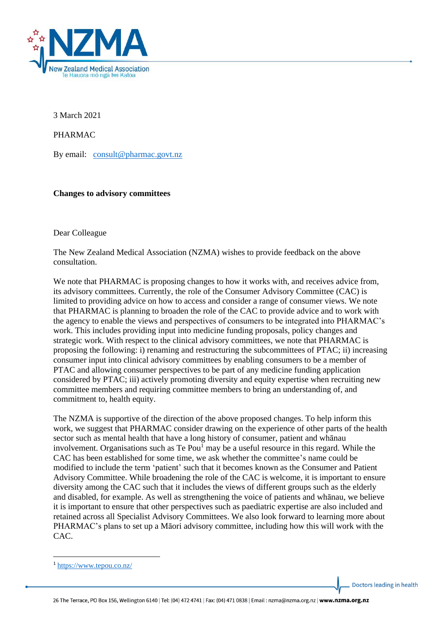

3 March 2021

PHARMAC

By email: [consult@pharmac.govt.nz](mailto:consult@pharmac.govt.nz)

### **Changes to advisory committees**

Dear Colleague

The New Zealand Medical Association (NZMA) wishes to provide feedback on the above consultation.

We note that PHARMAC is proposing changes to how it works with, and receives advice from, its advisory committees. Currently, the role of the Consumer Advisory Committee (CAC) is limited to providing advice on how to access and consider a range of consumer views. We note that PHARMAC is planning to broaden the role of the CAC to provide advice and to work with the agency to enable the views and perspectives of consumers to be integrated into PHARMAC's work. This includes providing input into medicine funding proposals, policy changes and strategic work. With respect to the clinical advisory committees, we note that PHARMAC is proposing the following: i) renaming and restructuring the subcommittees of PTAC; ii) increasing consumer input into clinical advisory committees by enabling consumers to be a member of PTAC and allowing consumer perspectives to be part of any medicine funding application considered by PTAC; iii) actively promoting diversity and equity expertise when recruiting new committee members and requiring committee members to bring an understanding of, and commitment to, health equity.

The NZMA is supportive of the direction of the above proposed changes. To help inform this work, we suggest that PHARMAC consider drawing on the experience of other parts of the health sector such as mental health that have a long history of consumer, patient and whānau involvement. Organisations such as  $Te$  Pou<sup>1</sup> may be a useful resource in this regard. While the CAC has been established for some time, we ask whether the committee's name could be modified to include the term 'patient' such that it becomes known as the Consumer and Patient Advisory Committee. While broadening the role of the CAC is welcome, it is important to ensure diversity among the CAC such that it includes the views of different groups such as the elderly and disabled, for example. As well as strengthening the voice of patients and whānau, we believe it is important to ensure that other perspectives such as paediatric expertise are also included and retained across all Specialist Advisory Committees. We also look forward to learning more about PHARMAC's plans to set up a Māori advisory committee, including how this will work with the CAC.

Doctors leading in health

<sup>1</sup> <https://www.tepou.co.nz/>